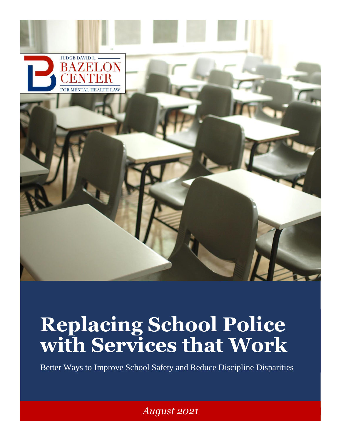

# **Replacing School Police with Services that Work**

Better Ways to Improve School Safety and Reduce Discipline Disparities

*August 2021*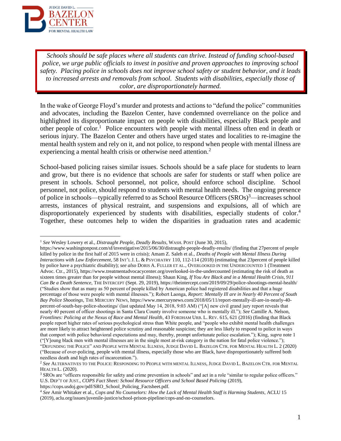

*Schools should be safe places where all students can thrive. Instead of funding school-based police, we urge public officials to invest in positive and proven approaches to improving school safety. Placing police in schools does not improve school safety or student behavior, and it leads to increased arrests and removals from school. Students with disabilities, especially those of color, are disproportionately harmed.*

<span id="page-1-0"></span>In the wake of George Floyd's murder and protests and actions to "defund the police" communities and advocates, including the Bazelon Center, have condemned overreliance on the police and highlighted its disproportionate impact on people with disabilities, especially Black people and other people of color.<sup>1</sup> Police encounters with people with mental illness often end in death or serious injury. The Bazelon Center and others have urged states and localities to re-imagine the mental health system and rely on it, and not police, to respond when people with mental illness are experiencing a mental health crisis or otherwise need attention.<sup>2</sup>

School-based policing raises similar issues. Schools should be a safe place for students to learn and grow, but there is no evidence that schools are safer for students or staff when police are present in schools. School personnel, not police, should enforce school discipline. School personnel, not police, should respond to students with mental health needs. The ongoing presence of police in schools—typically referred to as School Resource Officers (SROs)<sup>3</sup>—increases school arrests, instances of physical restraint, and suspensions and expulsions, all of which are disproportionately experienced by students with disabilities, especially students of color.<sup>4</sup> Together, these outcomes help to widen the disparities in graduation rates and academic

https://cops.usdoj.gov/pdf/SRO\_School\_Policing\_Factsheet.pdf.

<sup>1</sup> *See* Wesley Lowery et al., *Distraught People, Deadly Results*, WASH. POST (June 30, 2015),

https://www.washingtonpost.com/sf/investigative/2015/06/30/distraught-people-deadly-results/ (finding that 27percent of people killed by police in the first half of 2015 were in crisis); Amam Z. Saleh et al., *Deaths of People with Mental Illness During Interactions with Law Enforcement*, 58 INT'L J. L. & PSYCHIATRY 110, 112-114 (2018) (estimating that 23percent of people killed by police have a psychiatric disability); *see also* DORIS A. FULLER ET AL., OVERLOOKED IN THE UNDERCOUNTED 1 (Treatment Advoc. Ctr., 2015), https://www.treatmentadvocacycenter.org/overlooked-in-the-undercounted (estimating the risk of death as sixteen times greater than for people without mental illness); Shaun King, *If You Are Black and in a Mental Health Crisis, 911 Can Be a Death Sentence*, THE INTERCEPT (Sept. 29, 2019), https://theintercept.com/2019/09/29/police-shootings-mental-health/ ("Studies show that as many as 50 percent of people killed by American police had registered disabilities and that a huge percentage of those were people with mental illnesses."); Robert Laonga, *Report: Mentally Ill are in Nearly 40 Percent of South Bay Police Shootings*, THE MERCURY NEWS, https://www.mercurynews.com/2018/05/11/report-mentally-ill-are-in-nearly-40 percent-of-south-bay-police-shootings/ (last updated May 14, 2018, 9:03 AM) ("[A] new civil grand jury report reveals that nearly 40 percent of officer shootings in Santa Clara County involve someone who is mentally ill."); *See* Camille A. Nelson, *Frontlines: Policing at the Nexus of Race and Mental Health*, 43 FORDHAM URB. L. REV. 615, 621 (2016) (finding that Black people report higher rates of serious psychological stress than White people, and "people who exhibit mental health challenges are more likely to attract heightened police scrutiny and reasonable suspicion; they are less likely to respond to police in ways that comport with police behavioral expectations and may, thereby, prompt unfortunate police escalation."); King, *supra* note [1](#page-1-0) ("[Y]oung black men with mental illnesses are in the single most at-risk category in the nation for fatal police violence."); "DEFUNDING THE POLICE" AND PEOPLE WITH MENTAL ILLNESS, JUDGE DAVID L. BAZELON CTR. FOR MENTAL HEALTH L. 2 (2020) ("Because of over-policing, people with mental illness, especially those who are Black, have disproportionately suffered both needless death and high rates of incarceration.").

<sup>2</sup> *See* ALTERNATIVES TO THE POLICE: RESPONDING TO PEOPLE WITH MENTAL ILLNESS, JUDGE DAVID L. BAZELON CTR. FOR MENTAL HEALTH L. (2020).

<sup>&</sup>lt;sup>3</sup> SROs are "officers responsible for safety and crime prevention in schools" and act in a role "similar to regular police officers." U.S. DEP'T OF JUST., *COPS Fact Sheet: School Resource Officers and School Based Policing* (2019),

<sup>4</sup> *See* Amir Whitaker et al., *Cops and No Counselors: How the Lack of Mental Health Staff is Harming Students*, ACLU 15 (2019), aclu.org/issues/juvenile-justice/school-prison-pipeline/cops-and-no-counselors.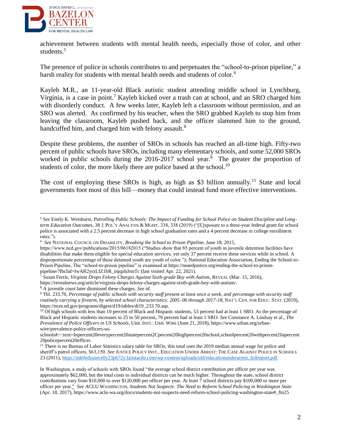

achievement between students with mental health needs, especially those of color, and other students.<sup>5</sup>

The presence of police in schools contributes to and perpetuates the "school-to-prison pipeline," a harsh reality for students with mental health needs and students of color.<sup>6</sup>

Kayleb M.R., an 11-year-old Black autistic student attending middle school in Lynchburg, Virginia, is a case in point.<sup>7</sup> Kayleb kicked over a trash can at school, and an SRO charged him with disorderly conduct. A few weeks later, Kayleb left a classroom without permission, and an SRO was alerted. As confirmed by his teacher, when the SRO grabbed Kayleb to stop him from leaving the classroom, Kayleb pushed back, and the officer slammed him to the ground, handcuffed him, and charged him with felony assault.<sup>8</sup>

Despite these problems, the number of SROs in schools has reached an all-time high. Fifty-two percent of public schools have SROs, including many elementary schools, and some 52,000 SROs worked in public schools during the  $2016-2017$  school year.<sup>9</sup> The greater the proportion of students of color, the more likely there are police based at the school.<sup>10</sup>

The cost of employing these SROs is high, as high as \$3 billion annually.<sup>11</sup> State and local governments foot most of this bill—money that could instead fund more effective interventions.

<sup>5</sup> *See* Emily K. Weisburst, *Patrolling Public Schools: The Impact of Funding for School Police on Student Discipline and Longterm Education Outcomes*, 38 J. POL'Y ANALYSIS & MGMT. 338, 338 (2019) ("[E]xposure to a three-year federal grant for school police is associated with a 2.5 percent decrease in high school graduation rates and a 4 percent decrease in college enrollment rates.").

<sup>6</sup> *See* NATIONAL COUNCIL ON DISABILITY, *Breaking the School to Prison Pipeline*, June 18, 2015,

https://www.ncd.gov/publications/2015/06182015 ("Studies show that 85 percent of youth in juvenile detention facilities have disabilities that make them eligible for special education services, yet only 37 percent receive these services while in school. A disproportionate percentage of these detained youth are youth of color."); National Education Association, Ending the School-to-Prison Pipeline, The "school-to-prison pipeline" is examined at https://neaedjustice.org/ending-the-school-to-prisonpipeline/?fbclid=IwAR2yrzLIZ1bR\_mjqubJrmTc (last visited Apr. 22, 2021).

<sup>7</sup> Susan Ferris, *Virginia Drops Felony Charges Against Sixth-grade Boy with Autism*, REVEAL (Mar. 15, 2016),

https://revealnews.org/article/virginia-drops-felony-charges-against-sixth-grade-boy-with-autism/.

<sup>8</sup> A juvenile court later dismissed these charges. *See id.*

<sup>9</sup> Tbl. 233.70, *Percentage of public schools with security staff present at least once a week, and percentage with security staff routinely carrying a firearm, by selected school characteristics: 2005–06 through 2017-18*, NAT'L CEN. FOR EDUC. STAT. (2019), https://nces.ed.gov/programs/digest/d19/tables/dt19\_233.70.asp.

<sup>&</sup>lt;sup>10</sup> Of high schools with less than 10 percent of Black and Hispanic students, 53 percent had at least 1 SRO. As the percentage of Black and Hispanic students increases to 25 to 50 percent, 76 percent had at least 1 SRO. *See* Constance A. Lindsay et al., *The Prevalence of Police Officers in US Schools*, URB. INST.: URB. WIRE (June 21, 2018), https://www.urban.org/urbanwire/prevalence-police-officers-us-

schools#:~:text=Inpercent20everypercent20statepercent2Cpercent20highpercent20school,schoolpercent20withpercent20apercent 20policepercent20officer.

<sup>&</sup>lt;sup>11</sup> There is no Bureau of Labor Statistics salary table for SROs; this total uses the 2019 median annual wage for police and sheriff's patrol officers, \$63,150. *See* JUSTICE POLICY INST., EDUCATION UNDER ARREST: THE CASE AGAINST POLICE IN SCHOOLS 23 (2011), https://mk0edsource0y23p672y.kinstacdn.com/wp-content/uploads/old/educationunderarrest\_fullreport.pdf.

In Washington, a study of schools with SROs found "the average school district contribution per officer per year was approximately \$62,000, but the total costs to individual districts can be much higher. Throughout the state, school district contributions vary from \$10,000 to over \$120,000 per officer per year. At least 7 school districts pay \$100,000 or more per officer per yea[r."](https://www.aclu-wa.org/docs/students-not-suspects-need-reform-school-policing-washington-state#_ftn27) *See* ACLU WASHINGTON, *Students Not Suspects: The Need to Reform School Policing in Washington State* (Apr. 18, 2017), https://www.aclu-wa.org/docs/students-not-suspects-need-reform-school-policing-washington-state#\_ftn25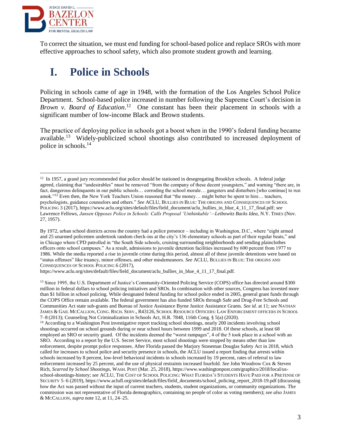

To correct the situation, we must end funding for school-based police and replace SROs with more effective approaches to school safety, which also promote student growth and learning.

# **I. Police in Schools**

Policing in schools came of age in 1948, with the formation of the Los Angeles School Police Department. School-based police increased in number following the Supreme Court's decision in *Brown v. Board of Education*. <sup>12</sup> One constant has been their placement in schools with a significant number of low-income Black and Brown students.

<span id="page-3-0"></span>The practice of deploying police in schools got a boost when in the 1990's federal funding became available.<sup>13</sup> Widely-publicized school shootings also contributed to increased deployment of police in schools.<sup>14</sup>

https://www.aclu.org/sites/default/files/field\_document/aclu\_bullies\_in\_blue\_4\_11\_17\_final.pdf.

 $\overline{a}$  $12 \text{ In } 1957$ , a grand jury recommended that police should be stationed in desegregating Brooklyn schools. A federal judge agreed, claiming that "undesirables" must be removed "from the company of these decent youngsters," and warning "there are, in fact, dangerous delinquents in our public schools… corroding the school morale… gangsters and disturbers [who continue] to run amok."<sup>12</sup> Even then, the New York Teachers Union reasoned that "the money… might better be spent to hire… teachers, psychologists, guidance counselors and others." *See* ACLU, BULLIES IN BLUE: THE ORIGINS AND CONSEQUENCES OF SCHOOL POLICING 3 (2017), https://www.aclu.org/sites/default/files/field\_document/aclu\_bullies\_in\_blue\_4\_11\_17\_final.pdf; *see*  Lawrence Fellows, *Jansen Opposes Police in Schools: Calls Proposal 'Unthinkable'—Leibowitz Backs Idea*, N.Y. TIMES (Nov. 27, 1957).

By 1972, urban school districts across the country had a police presence – including in Washington, D.C., where "eight armed and 25 unarmed policemen undertook random check-ins at the city's 136 elementary schools as part of their regular beats," and in Chicago where CPD patrolled in "the South Side schools, cruising surrounding neighborhoods and sending plainclothes officers onto school campuses." As a result, admissions to juvenile detention facilities increased by 600 percent from 1977 to 1986. While the media reported a rise in juvenile crime during this period, almost all of these juvenile detentions were based on "status offenses" like truancy, minor offenses, and other misdemeanors. *See* ACLU, BULLIES IN BLUE: THE ORIGINS AND CONSEQUENCES OF SCHOOL POLICING 6 (2017),

<sup>&</sup>lt;sup>13</sup> Since 1995, the U.S. Department of Justice's Community-Oriented Policing Service (COPS) office has directed around \$300 million in federal dollars to school policing initiatives and SROs. In combination with other sources, Congress has invested more than \$1 billion in school policing. While designated federal funding for school police ended in 2005, general grant funds through the COPS Office remain available. The federal government has also funded SROs through Safe and Drug-Free Schools and Communities Act state sub-grants and Bureau of Justice Assistance Byrne Justice Assistance Grants. *See id.* at 11; *see* NATHAN JAMES & GAIL MCCALLION, CONG. RSCH. SERV., R43126, SCHOOL RESOURCE OFFICERS: LAW ENFORCEMENT OFFICERS IN SCHOOL 7–8 (2013); Counseling Not Criminalization in Schools Act, H.R. 7848, 116th Cong. § 5(a) (2020).

<sup>&</sup>lt;sup>14</sup> According to a Washington Post investigative report tracking school shootings, nearly 200 incidents involving school shootings occurred on school grounds during or near school hours between 1999 and 2018. Of these schools, at least 68 employed an SRO or security guard. Of the incidents deemed the "worst rampages", 4 of the 5 took place in a school with an SRO. According to a report by the U.S. Secret Service, most school shootings were stopped by means other than law enforcement, despite prompt police responses. After Florida passed the Marjory Stoneman Douglas Safety Act in 2018, which called for increases to school police and security presence in schools, the ACLU issued a report finding that arrests within schools increased by 8 percent, low-level behavioral incidents in schools increased by 19 percent, rates of referral to law enforcement increased by 25 percent, and the use of physical restraints increased fourfold. *See* John Woodrow Cox & Steven Rich, *Scarred by School Shootings*, WASH. POST (Mar. 25, 2018), https://www.washingtonpost.com/graphics/2018/local/usschool-shootings-history; *see* ACLU, THE COST OF SCHOOL POLICING: WHAT FLORIDA'S STUDENTS HAVE PAID FOR A PRETENSE OF SECURITY 5–6 (2019), https://www.aclufl.org/sites/default/files/field\_documents/school\_policing\_report\_2018-19.pdf (discussing how the Act was passed without the input of current teachers, students, student organizations, or community organizations. The commission was not representative of Florida demographics, containing no people of color as voting members); *see also* JAMES & MCCALLION, *supra* note 12, at 11, 24–25.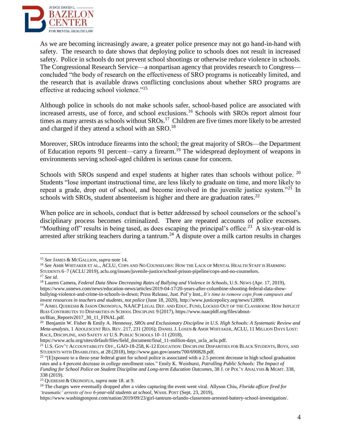

As we are becoming increasingly aware, a greater police presence may not go hand-in-hand with safety. The research to date shows that deploying police to schools does not result in increased safety. Police in schools do not prevent school shootings or otherwise reduce violence in schools. The Congressional Research Service—a nonpartisan agency that provides research to Congress concluded "the body of research on the effectiveness of SRO programs is noticeably limited, and the research that is available draws conflicting conclusions about whether SRO programs are effective at reducing school violence."<sup>15</sup>

Although police in schools do not make schools safer, school-based police are associated with increased arrests, use of force, and school exclusions.<sup>16</sup> Schools with SROs report almost four times as many arrests as schools without SROs.<sup>17</sup> Children are five times more likely to be arrested and charged if they attend a school with an SRO.<sup>18</sup>

Moreover, SROs introduce firearms into the school; the great majority of SROs—the Department of Education reports 91 percent—carry a firearm.<sup>19</sup> The widespread deployment of weapons in environments serving school-aged children is serious cause for concern.

Schools with SROs suspend and expel students at higher rates than schools without police. <sup>20</sup> Students "lose important instructional time, are less likely to graduate on time, and more likely to repeat a grade, drop out of school, and become involved in the juvenile justice system."<sup>21</sup> In schools with SROs, student absenteeism is higher and there are graduation rates.<sup>22</sup>

When police are in schools, conduct that is better addressed by school counselors or the school's disciplinary process becomes criminalized. There are repeated accounts of police excesses. "Mouthing off" results in being tased, as does escaping the principal's office.<sup>23</sup> A six-year-old is arrested after striking teachers during a tantrum.<sup>24</sup> A dispute over a milk carton results in charges

<sup>15</sup> *See* JAMES & MCGALLION, *supra* not[e 14.](#page-3-0)

<sup>16</sup> *See* AMIR WHITAKER ET AL., ACLU, COPS AND NO COUNSELORS: HOW THE LACK OF MENTAL HEALTH STAFF IS HARMING STUDENTS 6–7 (ACLU 2019), aclu.org/issues/juvenile-justice/school-prison-pipeline/cops-and-no-counselors.

<sup>17</sup> *See id.*

<sup>18</sup> Lauren Camera, *Federal Data Show Decreasing Rates of Bullying and Violence in Schools*, U.S. NEWS (Apr. 17, 2019), [https://www.usnews.com/news/education-news/articles/2019-04-17/20-years-after-columbine-shooting-federal-data-show](https://www.usnews.com/news/education-news/articles/2019-04-17/20-years-after-columbine-shooting-federal-data-show-bullying-violence-and-crime-in-schools-is-down)[bullying-violence-and-crime-in-schools-is-down;](https://www.usnews.com/news/education-news/articles/2019-04-17/20-years-after-columbine-shooting-federal-data-show-bullying-violence-and-crime-in-schools-is-down) Press Release, Just. Pol'y Inst., *It's time to remove cops from campuses and invest resources in teachers and students, not police* (June 18, 2020), http://www.justicepolicy.org/news/12899.

<sup>19</sup> AJMEL QUERESHI & JASON OKONOFUA, NAACP LEGAL DEF. AND EDUC. FUND, LOCKED OUT OF THE CLASSROOM: HOW IMPLICIT BIAS CONTRIBUTES TO DISPARITIES IN SCHOOL DISCIPLINE 9 (2017), https://www.naacpldf.org/files/aboutus/Bias\_Reportv2017\_30\_11\_FINAL.pdf.

<sup>20</sup> Benjamin W. Fisher & Emily A. Hennessy, *SROs and Exclusionary Discipline in U.S. High Schools: A Systematic Review and Meta-analysis*, 1 ADOLESCENT RES. REV. 217, 231 (2016); DANIEL J. LOSEN & AMIR WHITAKER, ACLU, 11 MILLION DAYS LOST: RACE, DISCIPLINE, AND SAFETY AT U.S. PUBLIC SCHOOLS 10–11 (2018),

https://www.aclu.org/sites/default/files/field\_document/final\_11-million-days\_ucla\_aclu.pdf.

<sup>21</sup> U.S. GOV'T ACCOUNTABILITY OFF., GAO-18-258, K-12 EDUCATION: DISCIPLINE DISPARITIES FOR BLACK STUDENTS, BOYS, AND STUDENTS WITH DISABILITIES, at 28 (2018), http://www.gao.gov/assets/700/690828.pdf.

 $22$  "[E]xposure to a three-year federal grant for school police is associated with a 2.5 percent decrease in high school graduation rates and a 4 percent decrease in college enrollment rates." Emily K. Weisburst, *Patrolling Public Schools: The Impact of Funding for School Police on Student Discipline and Long-term Education Outcomes*, 38 J. OF POL'Y ANALYSIS & MGMT. 338, 338 (2019).

<sup>23</sup> QUERESHI & OKONOFUA, *supra* note 18. at 9.

<sup>24</sup> The charges were eventually dropped after a video capturing the event went viral. Allyson Chiu, *Florida officer fired for 'traumatic' arrests of two 6-year-old students at school*, WASH. POST (Sept. 23, 2019),

https://www.washingtonpost.com/nation/2019/09/23/girl-tantrum-orlando-classroom-arrested-battery-school-investigation/.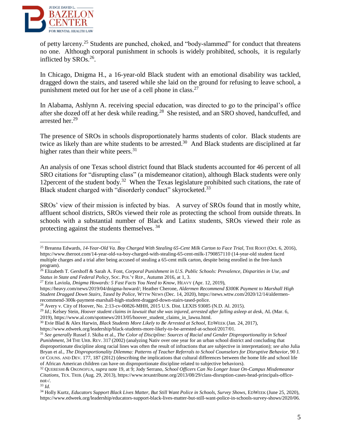

of petty larceny.<sup>25</sup> Students are punched, choked, and "body-slammed" for conduct that threatens no one. Although corporal punishment in schools is widely prohibited, schools, it is regularly inflicted by SROs.<sup>26</sup>.

In Chicago, Dnigma H., a 16-year-old Black student with an emotional disability was tackled, dragged down the stairs, and tasered while she laid on the ground for refusing to leave school, a punishment meted out for her use of a cell phone in class.<sup>27</sup>

In Alabama, Ashlynn A. receiving special education, was directed to go to the principal's office after she dozed off at her desk while reading.<sup>28</sup> She resisted, and an SRO shoved, handcuffed, and arrested her.<sup>29</sup>

The presence of SROs in schools disproportionately harms students of color. Black students are twice as likely than are white students to be arrested.<sup>30</sup> And Black students are disciplined at far higher rates than their white peers.<sup>31</sup>

An analysis of one Texas school district found that Black students accounted for 46 percent of all SRO citations for "disrupting class" (a misdemeanor citation), although Black students were only 12 percent of the student body.<sup>32</sup> When the Texas legislature prohibited such citations, the rate of Black student charged with "disorderly conduct" skyrocketed.<sup>33</sup>

SROs' view of their mission is infected by bias. A survey of SROs found that in mostly white, affluent school districts, SROs viewed their role as protecting the school from outside threats. In schools with a substantial number of Black and Latinx students, SROs viewed their role as protecting against the students themselves. 34

 $\overline{a}$ <sup>25</sup> Breanna Edwards, 14-Year-Old Va. Boy Charged With Stealing 65-Cent Milk Carton to Face Trial, THE ROOT (Oct. 6, 2016), <https://www.theroot.com/14-year-old-va-boy-charged-with-stealing-65-cent-milk-1790857110> (14-year-old student faced multiple charges and a trial after being accused of stealing a 65-cent milk carton, despite being enrolled in the free-lunch program).

<sup>26</sup> Elizabeth T. Gershoff & Sarah A. Font, *Corporal Punishment in U.S. Public Schools: Prevalence, Disparities in Use, and Status in State and Federal Policy*, SOC. POL'Y REP., Autumn 2016, at 1, 3.

<sup>27</sup> Erin Laviola, *Dnigma Howards: 5 Fast Facts You Need to Know*, HEAVY (Apr. 12, 2019),

[https://heavy.com/news/2019/04/dnigma-howard/;](https://heavy.com/news/2019/04/dnigma-howard/) Heather Cherone, *Aldermen Recommend \$300K Payment to Marshall High Student Dragged Down Stairs, Tased by Police*, WTTW NEWS (Dec. 14, 2020), https://news.wttw.com/2020/12/14/aldermenrecommend-300k-payment-marshall-high-student-dragged-down-stairs-tased-police.

<sup>28</sup> Avery v. City of Hoover, No. 2:13-cv-00826-MHH, 2015 U.S. Dist. LEXIS 93085 (N.D. Al. 2015).

<sup>&</sup>lt;sup>29</sup> Id.; Kelsey Stein, *Hoover student claims in lawsuit that she was injured, arrested after falling asleep at desk, AL (Mar. 6,* 2019), https://www.al.com/spotnews/2013/05/hoover\_student\_claims\_in\_lawsu.html.

<sup>30</sup> Evie Blad & Alex Harwin, *Black Students More Likely to Be Arrested at School*, EDWEEK (Jan. 24, 2017),

https://www.edweek.org/leadership/black-students-more-likely-to-be-arrested-at-school/2017/01.

<sup>31</sup> *See generally* Russel J. Skiba et al., *The Color of Discipline: Sources of Racial and Gender Disproportionality in School Punishment*, 34 THE URB. REV. 317 (2002) (analyzing Nativ over one year for an urban school district and concluding that disproportionate discipline along racial lines was often the result of infractions that are subjective in interpretation); *see also* Julia Bryan et al., *The Disproportionality Dilemma: Patterns of Teacher Referrals to School Counselors for Disruptive Behavior*, 90 J. OF COUNS. AND DEV. 177, 187 (2012) (describing the implications that cultural differences between the home life and school life of African American children can have on disproportionate discipline related to subjective behaviors).

<sup>32</sup> QUERESHI & OKONOFUA, *supra* note 19, at 9; Jody Serrano, *School Officers Can No Longer Issue On-Campus Misdemeanor Citations*, TEX. TRIB. (Aug. 29, 2013), https://www.texastribune.org/2013/08/29/class-disruption-cases-head-principals-officenot-/.

<sup>33</sup> *Id.*

<sup>34</sup> Holly Kurtz, *Educators Support Black Lives Matter, But Still Want Police in Schools, Survey Shows*, EDWEEK (June 25, 2020), https://www.edweek.org/leadership/educators-support-black-lives-matter-but-still-want-police-in-schools-survey-shows/2020/06.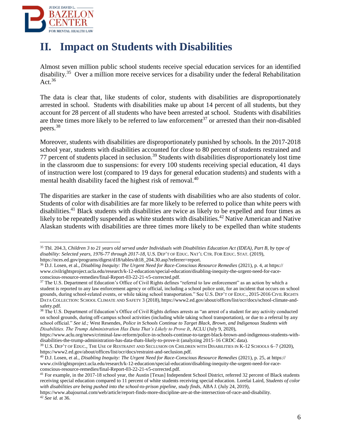

### **II. Impact on Students with Disabilities**

Almost seven million public school students receive special education services for an identified disability.<sup>35</sup> Over a million more receive services for a disability under the federal Rehabilitation Act. $36$ 

The data is clear that, like students of color, students with disabilities are disproportionately arrested in school. Students with disabilities make up about 14 percent of all students, but they account for 28 percent of all students who have been arrested at school. Students with disabilities are three times more likely to be referred to law enforcement<sup>37</sup> or arrested than their non-disabled peers.<sup>38</sup>

Moreover, students with disabilities are disproportionately punished by schools. In the 2017-2018 school year, students with disabilities accounted for close to 80 percent of students restrained and 77 percent of students placed in seclusion.<sup>39</sup> Students with disabilities disproportionately lost time in the classroom due to suspensions: for every 100 students receiving special education, 41 days of instruction were lost (compared to 19 days for general education students) and students with a mental health disability faced the highest risk of removal.<sup>40</sup>

The disparities are starker in the case of students with disabilities who are also students of color. Students of color with disabilities are far more likely to be referred to police than white peers with disabilities.<sup>41</sup> Black students with disabilities are twice as likely to be expelled and four times as likely to be repeatedly suspended as white students with disabilities.<sup>42</sup> Native American and Native Alaskan students with disabilities are three times more likely to be expelled than white students

 $\overline{a}$ <sup>35</sup> Tbl. 204.3, *Children 3 to 21 years old served under Individuals with Disabilities Education Act (IDEA), Part B, by type of disability: Selected years, 1976-77 through 2017-18*, U.S. DEP'T OF EDUC. NAT'L CTR. FOR EDUC. STAT. (2019), https://nces.ed.gov/programs/digest/d18/tables/dt18\_204.30.asp?referrer=report.

<sup>36</sup> D.J. Losen, et al., *Disabling Inequity: The Urgent Need for Race-Conscious Resource Remedies* (2021), p. 4, at https:// www.civilrightsproject.ucla.edu/research/k-12-education/special-education/disabling-inequity-the-urgent-need-for-raceconscious-resource-remedies/final-Report-03-22-21-v5-corrected.pdf.

<sup>&</sup>lt;sup>37</sup> The U.S. Department of Education's Office of Civil Rights defines "referral to law enforcement" as an action by which a student is reported to any law enforcement agency or official, including a school police unit, for an incident that occurs on school grounds, during school-related events, or while taking school transportation." See U.S. DEP'T OF EDUC., 2015-2016 CIVIL RIGHTS DATA COLLECTION: SCHOOL CLIMATE AND SAFETY 3 (2018), https://www2.ed.gov/about/offices/list/ocr/docs/school-climate-andsafety.pdf.

<sup>&</sup>lt;sup>38</sup> The U.S. Department of Education's Office of Civil Rights defines arrests as "an arrest of a student for any activity conducted on school grounds, during off-campus school activities (including while taking school transportation), or due to a referral by any school official." *See id.;* West Resendes, *Police in Schools Continue to Target Black, Brown, and Indigenous Students with Disabilities. The Trump Administration Has Data That's Likely to Prove It*, ACLU (July 9, 2020),

[https://www.aclu.org/news/criminal-law-reform/police-in-schools-continue-to-target-black-brown-and-indigenous-students-with](https://www.aclu.org/news/criminal-law-reform/police-in-schools-continue-to-target-black-brown-and-indigenous-students-with-disabilities-the-trump-administration-has-data-thats-likely-to-prove-it)[disabilities-the-trump-administration-has-data-thats-likely-to-prove-it](https://www.aclu.org/news/criminal-law-reform/police-in-schools-continue-to-target-black-brown-and-indigenous-students-with-disabilities-the-trump-administration-has-data-thats-likely-to-prove-it) (analyzing 2015–16 CRDC data).

<sup>39</sup> U.S. DEP'T OF EDUC., THE USE OF RESTRAINT AND SECLUSION ON CHILDREN WITH DISABILITIES IN K-12 SCHOOLS 6–7 (2020), https://www2.ed.gov/about/offices/list/ocr/docs/restraint-and-seclusion.pdf.

<sup>40</sup> D.J. Losen, et al., *Disabling Inequity: The Urgent Need for Race-Conscious Resource Remedies* (2021), p. 25, at https:// www.civilrightsproject.ucla.edu/research/k-12-education/special-education/disabling-inequity-the-urgent-need-for-raceconscious-resource-remedies/final-Report-03-22-21-v5-corrected.pdf.

<sup>&</sup>lt;sup>41</sup> For example, in the 2017-18 school year, the Austin [Texas] Independent School District, referred 32 percent of Black students receiving special education compared to 11 percent of white students receiving special education. Lorelai Laird, *Students of color with disabilities are being pushed into the school-to-prison pipeline, study finds*, ABA J. (July 24, 2019),

https://www.abajournal.com/web/article/report-finds-more-discipline-are-at-the-intersection-of-race-and-disability. <sup>42</sup> *See id.* at 36.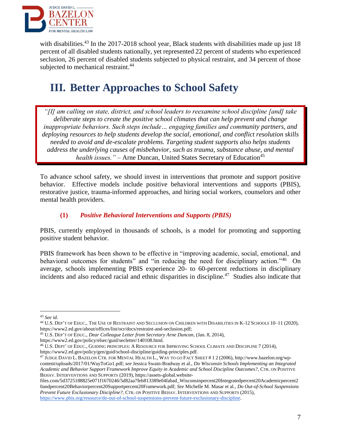

with disabilities.<sup>43</sup> In the 2017-2018 school year, Black students with disabilities made up just 18 percent of all disabled students nationally, yet represented 22 percent of students who experienced seclusion, 26 percent of disabled students subjected to physical restraint, and 34 percent of those subjected to mechanical restraint.<sup>44</sup>

### **III. Better Approaches to School Safety**

*"[I] am calling on state, district, and school leaders to reexamine school discipline [and] take deliberate steps to create the positive school climates that can help prevent and change inappropriate behaviors. Such steps include… engaging families and community partners, and deploying resources to help students develop the social, emotional, and conflict resolution skills needed to avoid and de-escalate problems. Targeting student supports also helps students address the underlying causes of misbehavior, such as trauma, substance abuse, and mental health issues.*" – Arne Duncan, United States Secretary of Education<sup>45</sup>

To advance school safety, we should invest in interventions that promote and support positive behavior. Effective models include positive behavioral interventions and supports (PBIS), restorative justice, trauma-informed approaches, and hiring social workers, counselors and other mental health providers.

#### **(1)** *Positive Behavioral Interventions and Supports (PBIS)*

PBIS, currently employed in thousands of schools, is a model for promoting and supporting positive student behavior.

PBIS framework has been shown to be effective in "improving academic, social, emotional, and behavioral outcomes for students" and "in reducing the need for disciplinary action."<sup>46</sup> On average, schools implementing PBIS experience 20- to 60-percent reductions in disciplinary incidents and also reduced racial and ethnic disparities in discipline.<sup>47</sup> Studies also indicate that

 $\overline{a}$ 

<sup>46</sup> U.S. DEPT' OF EDUC., GUIDING PRINCIPLES: A RESOURCE FOR IMPROVING SCHOOL CLIMATE AND DISCIPLINE 7 (2014), https://www2.ed.gov/policy/gen/guid/school-discipline/guiding-principles.pdf.

<sup>43</sup> *See id.*

<sup>44</sup> U.S. DEP'T OF EDUC., THE USE OF RESTRAINT AND SECLUSION ON CHILDREN WITH DISABILITIES IN K-12 SCHOOLS 10–11 (2020), https://www2.ed.gov/about/offices/list/ocr/docs/restraint-and-seclusion.pdf;

<sup>45</sup> U.S. DEP'T OF EDUC., *Dear Colleague Letter from Secretary Arne Duncan*, (Jan. 8, 2014),

https://www2.ed.gov/policy/elsec/guid/secletter/140108.html.

<sup>47</sup> JUDGE DAVID L. BAZELON CTR. FOR MENTAL HEALTH L., WAY TO GO FACT SHEET # 1 2 (2006), http://www.bazelon.org/wpcontent/uploads/2017/01/WayToGo1.pdf; *see* Jessica Swain-Bradway et al., *Do Wisconsin Schools Implementing an Integrated Academic and Behavior Support Framework Improve Equity in Academic and School Discipline Outcomes?*, CTR. ON POSITIVE BEHAV. INTERVENTIONS AND SUPPORTS (2019), https://assets-global.website-

files.com/5d3725188825e071f1670246/5d82aa7feb813389e04fabad\_Wisconsinpercent20Integratedpercent20Academicpercent2 0andpercent20Behaviorpercent20Supportpercent20Framework.pdf; *See* Michelle M. Masar et al., *Do Out-of-School Suspensions Prevent Future Exclusionary Discipline?*, CTR. ON POSITIVE BEHAV. INTERVENTIONS AND SUPPORTS (2015), https://www.pbis.org/resource/do-out-of-school-suspensions-prevent-future-exclusionary-discipline.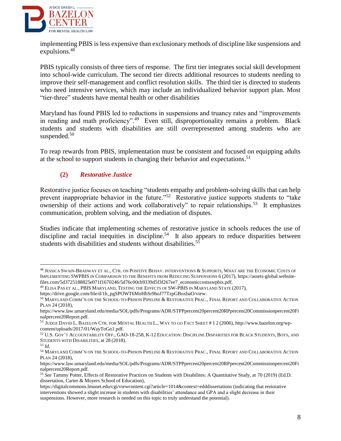

implementing PBIS is less expensive than exclusionary methods of discipline like suspensions and expulsions.<sup>48</sup>

PBIS typically consists of three tiers of response. The first tier integrates social skill development into school-wide curriculum. The second tier directs additional resources to students needing to improve their self-management and conflict resolution skills. The third tier is directed to students who need intensive services, which may include an individualized behavior support plan. Most "tier-three" students have mental health or other disabilities

Maryland has found PBIS led to reductions in suspensions and truancy rates and "improvements in reading and math proficiency".<sup>49</sup> Even still, disproportionality remains a problem. Black students and students with disabilities are still overrepresented among students who are suspended.<sup>50</sup>

To reap rewards from PBIS, implementation must be consistent and focused on equipping adults at the school to support students in changing their behavior and expectations.<sup>51</sup>

#### **(2)** *Restorative Justice*

Restorative justice focuses on teaching "students empathy and problem-solving skills that can help prevent inappropriate behavior in the future."<sup>52</sup> Restorative justice supports students to "take ownership of their actions and work collaboratively" to repair relationships.<sup>53</sup> It emphasizes communication, problem solving, and the mediation of disputes.

Studies indicate that implementing schemes of restorative justice in schools reduces the use of discipline and racial inequities in discipline.<sup>54</sup> It also appears to reduce disparities between students with disabilities and students without disabilities.<sup>55</sup>

<sup>48</sup> JESSICA SWAIN-BRADWAY ET AL., CTR. ON POSITIVE BEHAV. INTERVENTIONS & SUPPORTS, WHAT ARE THE ECONOMIC COSTS OF IMPLEMENTING SWPBIS IN COMPARISON TO THE BENEFITS FROM REDUCING SUSPENSIONS 6 (2017), https://assets-global.websitefiles.com/5d3725188825e071f1670246/5d76c00cb9339d5f3f267ee7\_economiccostsswpbis.pdf.

<sup>49</sup> ELISA PAS ET AL., PBIS MARYLAND, TESTING THE EFFECTS OF SW-PBIS IN MARYLAND STATE (2017),

https://drive.google.com/file/d/1h\_pgSPOWT6MoHhSr9hoJ77TzpGBoxbaO/view.

<sup>50</sup> MARYLAND COMM'N ON THE SCHOOL-TO-PRISON PIPELINE & RESTORATIVE PRAC., FINAL REPORT AND COLLABORATIVE ACTION PLAN 24 (2018),

https://www.law.umaryland.edu/media/SOL/pdfs/Programs/ADR/STPPpercent20percent20RPpercent20Commissionpercent20Fi nalpercent20Report.pdf.

<sup>51</sup> JUDGE DAVID L. BAZELON CTR. FOR MENTAL HEALTH L., WAY TO GO FACT SHEET # 1 2 (2006), http://www.bazelon.org/wpcontent/uploads/2017/01/WayToGo1.pdf.

<sup>52</sup> U.S. GOV'T ACCOUNTABILITY OFF., GAO-18-258, K-12 EDUCATION: DISCIPLINE DISPARITIES FOR BLACK STUDENTS, BOYS, AND STUDENTS WITH DISABILITIES, at 28 (2018).

<sup>53</sup> *Id.*

<sup>54</sup> MARYLAND COMM'N ON THE SCHOOL-TO-PRISON PIPELINE & RESTORATIVE PRAC., FINAL REPORT AND COLLABORATIVE ACTION PLAN 24 (2018),

https://www.law.umaryland.edu/media/SOL/pdfs/Programs/ADR/STPPpercent20percent20RPpercent20Commissionpercent20Fi nalpercent20Report.pdf.

<sup>55</sup> *See* Tammy Potter, Effects of Restorative Practices on Students with Disabilites: A Quantitative Study, at 70 (2019) (Ed.D. dissertation, Carter & Moyers School of Education),

https://digitalcommons.lmunet.edu/cgi/viewcontent.cgi?article=1014&context=edddissertations (indicating that restorative interventions showed a slight increase in students with disabilities' attendance and GPA and a slight decrease in their suspensions. However, more research is needed on this topic to truly understand the potential).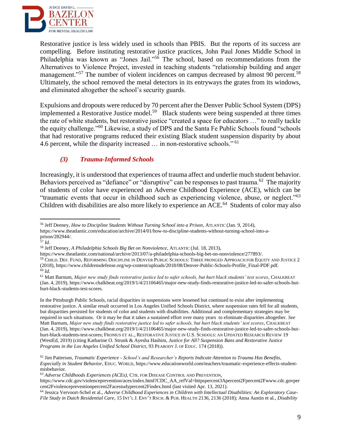

Restorative justice is less widely used in schools than PBIS. But the reports of its success are compelling. Before instituting restorative justice practices, John Paul Jones Middle School in Philadelphia was known as "Jones Jail."<sup>56</sup> The school, based on recommendations from the Alternatives to Violence Project, invested in teaching students "relationship building and anger management."<sup>57</sup> The number of violent incidences on campus decreased by almost 90 percent.<sup>58</sup> Ultimately, the school removed the metal detectors in its entryways the grates from its windows, and eliminated altogether the school's security guards.

Expulsions and dropouts were reduced by 70 percent after the Denver Public School System (DPS) implemented a Restorative Justice model.<sup>59</sup> Black students were being suspended at three times the rate of white students, but restorative justice "created a space for educators …" to really tackle the equity challenge."<sup>60</sup> Likewise, a study of DPS and the Santa Fe Public Schools found "schools that had restorative programs reduced their existing Black student suspension disparity by about 4.6 percent, while the disparity increased ... in non-restorative schools."<sup>61</sup>

#### *(3) Trauma-Informed Schools*

Increasingly, it is understood that experiences of trauma affect and underlie much student behavior. Behaviors perceived as "defiance" or "disruptive" can be responses to past trauma.<sup>62</sup> The majority of students of color have experienced an Adverse Childhood Experience (ACE), which can be "traumatic events that occur in childhood such as experiencing violence, abuse, or neglect."<sup>63</sup> Children with disabilities are also more likely to experience an ACE.<sup>64</sup> Students of color may also

 $\overline{a}$ 

In the Pittsburgh Public Schools, racial disparities in suspensions were lessened but continued to exist after implementing restorative justice. A similar result occurred in Los Angeles Unified Schools District, where suspension rates fell for all students, but disparities persisted for students of color and students with disabilities. Additional and complementary strategies may be required in such situations. Or it may be that it takes a sustained effort over many years to eliminate disparities altogether. *See*  Matt Barnum, *Major new study finds restorative justice led to safer schools, but hurt black students' test scores*, CHALKBEAT (Jan. 4, 2019), https://www.chalkbeat.org/2019/1/4/21106465/major-new-study-finds-restorative-justice-led-to-safer-schools-buthurt-black-students-test-scores; FRONIUS ET AL., RESTORATIVE JUSTICE IN U.S. SCHOOLS: AN UPDATED RESEARCH REVIEW 19 (WestEd, 2019) (citing Katharine O. Strunk & Ayesha Hashim, *Justice for All? Suspension Bans and Restorative Justice Programs in the Los Angeles Unified School District*, 93 PEABODY J. OF EDUC. 174 (2018)).

<sup>56</sup> Jeff Deeney, *How to Discipline Students Without Turning School into a Prison*, ATLANTIC (Jan. 9, 2014), https://www.theatlantic.com/education/archive/2014/01/how-to-discipline-students-without-turning-school-into-aprison/282944/.

<sup>57</sup> *Id.*

<sup>58</sup> Jeff Deeney, *A Philadelphia Schools Big Bet on Nonviolence*, ATLANTIC (Jul. 18, 2013),

https://www.theatlantic.com/national/archive/2013/07/a-philadelphia-schools-big-bet-on-nonviolence/277893/.

<sup>59</sup> CHILD. DEF. FUND, REFORMING DISCIPLINE IN DENVER PUBLIC SCHOOLS: THREE PRONGED APPROACH FOR EQUITY AND JUSTICE 2 (2018), https://www.childrensdefense.org/wp-content/uploads/2018/08/Denver-Public-Schools-Profile\_Final-PDF.pdf. <sup>60</sup> *Id.*

<sup>61</sup> Matt Barnum, *Major new study finds restorative justice led to safer schools, but hurt black students' test scores*, CHALKBEAT (Jan. 4, 2019), https://www.chalkbeat.org/2019/1/4/21106465/major-new-study-finds-restorative-justice-led-to-safer-schools-buthurt-black-students-test-scores.

<sup>62</sup> Jim Patterson, *Traumatic Experience - School's and Researcher's Reports Indicate Attention to Trauma Has Benefits, Especially in Student Behavior*, EDUC. WORLD, https://www.educationworld.com/teachers/traumatic-experience-effects-studentmisbehavior.

<sup>63</sup> *Adverse Childhoods Experiences (ACEs)*, CTR. FOR DISEASE CONTROL AND PREVENTION,

https://www.cdc.gov/violenceprevention/aces/index.html?CDC\_AA\_refVal=httpspercent3Apercent2Fpercent2Fwww.cdc.govper cent2Fviolencepreventionpercent2Facestudypercent2Findex.html (last visited Apr. 13, 2021).

<sup>64</sup> Jessica Vervoort-Schel et al., *Adverse Childhood Experiences in Children with Intellectual Disabilities: An Exploratory Case-File Study in Dutch Residential Care*, 15 INT'L J. ENV'T RSCH. & PUB. HEALTH 2136, 2136 (2018); Anna Austin et al., *Disability*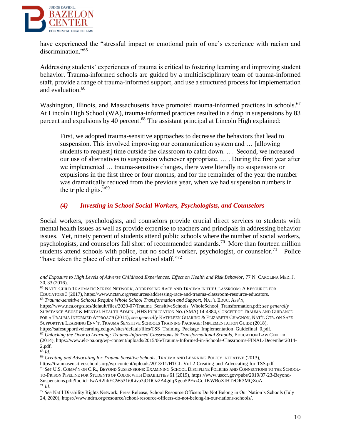

have experienced the "stressful impact or emotional pain of one's experience with racism and discrimination."<sup>65</sup>

Addressing students' experiences of trauma is critical to fostering learning and improving student behavior. Trauma-informed schools are guided by a multidisciplinary team of trauma-informed staff, provide a range of trauma-informed support, and use a structured process for implementation and evaluation.<sup>66</sup>

Washington, Illinois, and Massachusetts have promoted trauma-informed practices in schools.<sup>67</sup> At Lincoln High School (WA), trauma-informed practices resulted in a drop in suspensions by 83 percent and expulsions by 40 percent.<sup>68</sup> The assistant principal at Lincoln High explained:

First, we adopted trauma-sensitive approaches to decrease the behaviors that lead to suspension. This involved improving our communication system and … [allowing students to request] time outside the classroom to calm down. … Second, we increased our use of alternatives to suspension whenever appropriate. … . During the first year after we implemented … trauma-sensitive changes, there were literally no suspensions or expulsions in the first three or four months, and for the remainder of the year the number was dramatically reduced from the previous year, when we had suspension numbers in the triple digits."<sup>69</sup>

#### *(4) Investing in School Social Workers, Psychologists, and Counselors*

Social workers, psychologists, and counselors provide crucial direct services to students with mental health issues as well as provide expertise to teachers and principals in addressing behavior issues. Yet, ninety percent of students attend public schools where the number of social workers, psychologists, and counselors fall short of recommended standards.<sup>70</sup> More than fourteen million students attend schools with police, but no social worker, psychologist, or counselor.<sup>71</sup> Police "have taken the place of other critical school staff."<sup>72</sup>

*and Exposure to High Levels of Adverse Childhood Experiences: Effect on Health and Risk Behavior*, 77 N. CAROLINA MED. J. 30, 33 (2016).

<sup>65</sup> NAT'L CHILD TRAUMATIC STRESS NETWORK, ADDRESSING RACE AND TRAUMA IN THE CLASSROOM: A RESOURCE FOR EDUCATORS 3 (2017), https://www.nctsn.org/resources/addressing-race-and-trauma-classroom-resource-educators. <sup>66</sup> *Trauma-sensitive Schools Require Whole School Transformation and Support*, NAT'L EDUC. ASS'N,

[https://www.nea.org/sites/default/files/2020-07/Trauma\\_SensitiveSchools\\_WholeSchool\\_Transformation.pdf;](https://www.nea.org/sites/default/files/2020-07/Trauma_SensitiveSchools_WholeSchool_Transformation.pdf) *see generally*  SUBSTANCE ABUSE & MENTAL HEALTH ADMIN., HHS PUBLICATION NO. (SMA) 14-4884, CONCEPT OF TRAUMA AND GUIDANCE FOR A TRAUMA INFORMED APPROACH (2014); *see generally* KATHLEEN GUARINO & ELIZABETH CHAGNON, NAT'L CTR. ON SAFE SUPPORTIVE LEARNING ENV'T, TRAUMA SENSITIVE SCHOOLS TRAINING PACKAGE: IMPLEMENTATION GUIDE (2018), https://safesupportivelearning.ed.gov/sites/default/files/TSS\_Training\_Package\_Implementation\_Guidefinal\_0.pdf.

<sup>67</sup> *Unlocking the Door to Learning: Trauma-Informed Classrooms & Transformational Schools*, EDUCATION LAW CENTER (2014), https://www.elc-pa.org/wp-content/uploads/2015/06/Trauma-Informed-in-Schools-Classrooms-FINAL-December2014- 2.pdf.

<sup>68</sup> *Id.*

<sup>69</sup> *Creating and Advocating for Trauma Sensitive Schools*, TRAUMA AND LEARNING POLICY INITIATIVE (2013), https://traumasensitiveschools.org/wp-content/uploads/2013/11/HTCL-Vol-2-Creating-and-Advocating-for-TSS.pdf <sup>70</sup> *See* U.S. COMM'N ON C.R., BEYOND SUSPENSIONS: EXAMINING SCHOOL DISCIPLINE POLICIES AND CONNECTIONS TO THE SCHOOL-TO-PRISON PIPELINE FOR STUDENTS OF COLOR WITH DISABILITIES 61 (2019), [https://www.usccr.gov/pubs/2019/07-23-Beyond-](https://www.usccr.gov/pubs/2019/07-23-Beyond-Suspensions.pdf?fbclid=IwAR2hbECW531i0Liva3jODOz2A4gdqXgeu5PFxzCcIfKWBoXfHTeOR3MQXoA)[Suspensions.pdf?fbclid=IwAR2hbECW531i0Liva3jODOz2A4gdqXgeu5PFxzCcIfKWBoXfHTeOR3MQXoA.](https://www.usccr.gov/pubs/2019/07-23-Beyond-Suspensions.pdf?fbclid=IwAR2hbECW531i0Liva3jODOz2A4gdqXgeu5PFxzCcIfKWBoXfHTeOR3MQXoA) <sup>71</sup> *Id.*

<sup>72</sup> *See* Nat'l Disability Rights Network, Press Release, School Resource Officers Do Not Belong in Our Nation's Schools (July 24, 2020), [https://www.ndrn.org/resource/school-resource-officers-do-not-belong-in-our-nations-schools/.](https://www.ndrn.org/resource/school-resource-officers-do-not-belong-in-our-nations-schools/)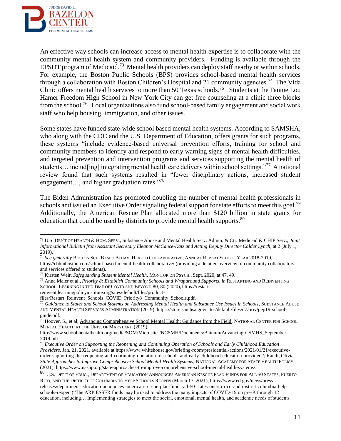

An effective way schools can increase access to mental health expertise is to collaborate with the community mental health system and community providers. Funding is available through the EPSDT program of Medicaid.<sup>73</sup> Mental health providers can deploy staff nearby or within schools. For example, the Boston Public Schools (BPS) provides school-based mental health services through a collaboration with Boston Children's Hospital and 21 community agencies.<sup>74</sup> The Vida Clinic offers mental health services to more than 50 Texas schools.<sup>75</sup> Students at the Fannie Lou Hamer Freedom High School in New York City can get free counseling at a clinic three blocks from the school.<sup>76</sup> Local organizations also fund school-based family engagement and social work staff who help housing, immigration, and other issues.

Some states have funded state-wide school based mental health systems. According to SAMSHA, who along with the CDC and the U.S. Department of Education, offers grants for such programs, these systems "include evidence-based universal prevention efforts, training for school and community members to identify and respond to early warning signs of mental health difficulties, and targeted prevention and intervention programs and services supporting the mental health of students... includ [ing] integrating mental health care delivery within school settings."<sup>77</sup> A national review found that such systems resulted in "fewer disciplinary actions, increased student engagement..., and higher graduation rates."<sup>78</sup>

The Biden Administration has promoted doubling the number of mental health professionals in schools and issued an Executive Order signaling federal support for state efforts to meet this goal.<sup>79</sup> Additionally, the American Rescue Plan allocated more than \$120 billion in state grants for education that could be used by districts to provide mental health supports.<sup>80</sup>

reinvent.learningpolicyinstitute.org/sites/default/files/product-

<sup>73</sup> U.S. DEP'T OF HEALTH & HUM. SERV., Substance Abuse and Mental Health Serv. Admin. & Ctr. Medicaid & CHIP Serv., *Joint Informational Bulletin from Assistant Secretary Eleanor McCance-Katz and Acting Deputy Director Calder Lynch*, at 2 (July 1, 2019).

<sup>74</sup> *See generally* BOSTON SCH. BASED BEHAV. HEALTH COLLABORATIVE, ANNUAL REPORT SCHOOL YEAR 2018-2019,

https://cbhmboston.com/school-based-mental-health-collaborative/ (providing a detailed overview of community collaborators and services offered to students).

<sup>75</sup> Kirsten Weir, *Safeguarding Student Mental Health*, MONITOR ON PSYCH., Sept. 2020, at 47, 49.

<sup>76</sup> Anna Maier et al., *Priority 8: Establish Community Schools and Wraparound Supports*, *in* RESTARTING AND REINVENTING SCHOOL: LEARNING IN THE TIME OF COVID AND BEYOND 80, 80 (2020), https://restart-

files/Restart\_Reinvent\_Schools\_COVID\_Priority8\_Community\_Schools.pdf.

<sup>77</sup> *Guidance to States and School Systems on Addressing Mental Health and Substance Use Issues in Schools*, SUBSTANCE ABUSE AND MENTAL HEALTH SERVICES ADMINISTRATION (2019), https://store.samhsa.gov/sites/default/files/d7/priv/pep19-schoolguide.pdf.

<sup>&</sup>lt;sup>78</sup> Hoover, S., et al, Advancing Comprehensive School Mental Health: Guidance from the Field, NATIONAL CENTER FOR SCHOOL MENTAL HEALTH AT THE UNIV. OF MARYLAND (2019),

http://www.schoolmentalhealth.org/media/SOM/Microsites/NCSMH/Documents/Bainum/Advancing-CSMHS\_September-2019.pdf

<sup>79</sup> *Executive Order on Supporting the Reopening and Continuing Operation of Schools and Early Childhood Education Providers*, Jan. 21, 2021, available at https://www.whitehouse.gov/briefing-room/presidential-actions/2021/01/21/executiveorder-supporting-the-reopening-and-continuing-operation-of-schools-and-early-childhood-education-providers/; Randi, Olivia, *State Approaches to Improve Comprehensive School Mental Health Systems*, NATIONAL ACADEMY FOR STATE HEALTH POLICY (2021), https://www.nashp.org/state-approaches-to-improve-comprehensive-school-mental-health-systems/.

<sup>80</sup> U.S. DEP'T OF EDUC., DEPARTMENT OF EDUCATION ANNOUNCES AMERICAN RESCUE PLAN FUNDS FOR ALL 50 STATES, PUERTO RICO, AND THE DISTRICT OF COLUMBIA TO HELP SCHOOLS REOPEN (March 17, 2021), https://www.ed.gov/news/pressreleases/department-education-announces-american-rescue-plan-funds-all-50-states-puerto-rico-and-district-columbia-helpschools-reopen ("The ARP ESSER funds may be used to address the many impacts of COVID-19 on pre-K through 12 education, including… Implementing strategies to meet the social, emotional, mental health, and academic needs of students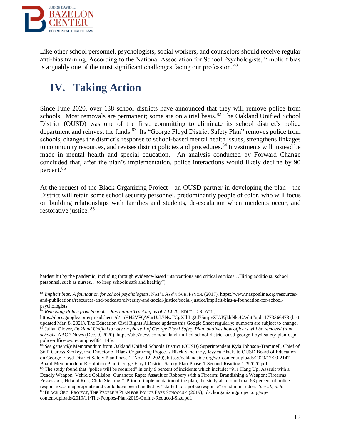

Like other school personnel, psychologists, social workers, and counselors should receive regular anti-bias training. According to the National Association for School Psychologists, "implicit bias is arguably one of the most significant challenges facing our profession."<sup>81</sup>

## **IV. Taking Action**

Since June 2020, over 138 school districts have announced that they will remove police from schools. Most removals are permanent; some are on a trial basis.<sup>82</sup> The Oakland Unified School District (OUSD) was one of the first; committing to eliminate its school district's police department and reinvest the funds.<sup>83</sup> Its "George Floyd District Safety Plan" removes police from schools, changes the district's response to school-based mental health issues, strengthens linkages to community resources, and revises district policies and procedures.<sup>84</sup> Investments will instead be made in mental health and special education. An analysis conducted by Forward Change concluded that, after the plan's implementation, police interactions would likely decline by 90 percent.<sup>85</sup>

At the request of the Black Organizing Project—an OUSD partner in developing the plan—the District will retain some school security personnel, predominantly people of color, who will focus on building relationships with families and students, de-escalation when incidents occur, and restorative justice. <sup>86</sup>

hardest hit by the pandemic, including through evidence-based interventions and critical services…Hiring additional school personnel, such as nurses… to keep schools safe and healthy").

<sup>81</sup> *Implicit bias: A foundation for school psychologists*, NAT'L ASS'N SCH. PSYCH. (2017), https://www.nasponline.org/resourcesand-publications/resources-and-podcasts/diversity-and-social-justice/social-justice/implicit-bias-a-foundation-for-schoolpsychologists.

<sup>82</sup> *Removing Police from Schools - Resolution Tracking as of 7.14.20*, EDUC. C.R. ALL.,

https://docs.google.com/spreadsheets/d/1nHH2VFQWurUak7NwTCgXIhLg2d75nrpvZIAKjkhNkcU/edit#gid=1773366473 (last updated Mar. 8, 2021). The Education Civil Rights Alliance updates this Google Sheet regularly; numbers are subject to change. <sup>83</sup> Julian Glover*, Oakland Unified to vote on phase 1 of George Floyd Safety Plan, outlines how officers will be removed from schools*, ABC 7 NEWS (Dec. 9, 2020), https://abc7news.com/oakland-unified-school-district-ousd-george-floyd-safety-plan-ospdpolice-officers-on-campus/8641145/.

<sup>&</sup>lt;sup>84</sup> See generally Memorandum from Oakland Unified Schools District (OUSD) Superintendent Kyla Johnson-Trammell, Chief of Staff Curtiss Sarikey, and Director of Black Organizing Project's Black Sanctuary, Jessica Black, to OUSD Board of Education on George Floyd District Safety Plan Phase 1 (Nov. 12, 2020), https://oaklandside.org/wp-content/uploads/2020/12/20-2147- Board-Memorandum-Resolution-Plan-George-Floyd-District-Safety-Plan-Phase-1-Second-Reading-1292020.pdf. <sup>85</sup> The study found that "police will be required" in only 6 percent of incidents which include: "911 Hang Up; Assault with a

Deadly Weapon; Vehicle Collision; Gunshots; Rape; Assault or Robbery with a Firearm; Brandishing a Weapon; Firearms Possession; Hit and Run; Child Stealing." Prior to implementation of the plan, the study also found that 68 percent of police response was inappropriate and could have been handled by "skilled non-police response" or administrators. *See id., p. 6.* <sup>86</sup> BLACK ORG. PROJECT, THE PEOPLE'S PLAN FOR POLICE FREE SCHOOLS 4 (2019), blackorganizingproject.org/wpcontent/uploads/2019/11/The-Peoples-Plan-2019-Online-Reduced-Size.pdf.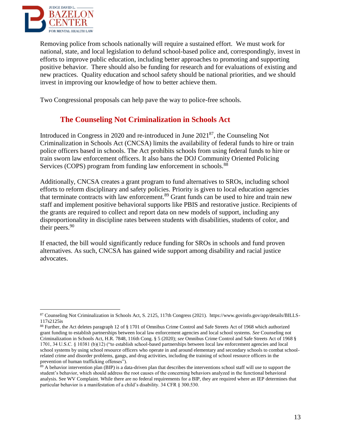

Removing police from schools nationally will require a sustained effort. We must work for national, state, and local legislation to defund school-based police and, correspondingly, invest in efforts to improve public education, including better approaches to promoting and supporting positive behavior. There should also be funding for research and for evaluations of existing and new practices. Quality education and school safety should be national priorities, and we should invest in improving our knowledge of how to better achieve them.

Two Congressional proposals can help pave the way to police-free schools.

### **The Counseling Not Criminalization in Schools Act**

Introduced in Congress in 2020 and re-introduced in June 2021<sup>87</sup>, the Counseling Not Criminalization in Schools Act (CNCSA) limits the availability of federal funds to hire or train police officers based in schools. The Act prohibits schools from using federal funds to hire or train sworn law enforcement officers. It also bans the DOJ Community Oriented Policing Services (COPS) program from funding law enforcement in schools.<sup>88</sup>

Additionally, CNCSA creates a grant program to fund alternatives to SROs, including school efforts to reform disciplinary and safety policies. Priority is given to local education agencies that terminate contracts with law enforcement.<sup>89</sup> Grant funds can be used to hire and train new staff and implement positive behavioral supports like PBIS and restorative justice. Recipients of the grants are required to collect and report data on new models of support, including any disproportionality in discipline rates between students with disabilities, students of color, and their peers.<sup>90</sup>

If enacted, the bill would significantly reduce funding for SROs in schools and fund proven alternatives. As such, CNCSA has gained wide support among disability and racial justice advocates.

<sup>87</sup> Counseling Not Criminalization in Schools Act, S. 2125, 117th Congress (2021). https://www.govinfo.gov/app/details/BILLS-117s2125is

<sup>88</sup> Further, the Act deletes paragraph 12 of § 1701 of Omnibus Crime Control and Safe Streets Act of 1968 which authorized grant funding to establish partnerships between local law enforcement agencies and local school systems. *See* Counseling not Criminalization in Schools Act, H.R. 7848, 116th Cong. § 5 (2020); *see* Omnibus Crime Control and Safe Streets Act of 1968 § 1701, 34 U.S.C. § 10381 (b)(12) ("to establish school-based partnerships between local law enforcement agencies and local school systems by using school resource officers who operate in and around elementary and secondary schools to combat schoolrelated crime and disorder problems, gangs, and drug activities, including the training of school resource officers in the prevention of human trafficking offenses").

<sup>&</sup>lt;sup>89</sup> A behavior intervention plan (BIP) is a data-driven plan that describes the interventions school staff will use to support the student's behavior, which should address the root causes of the concerning behaviors analyzed in the functional behavioral analysis. See WV Complaint. While there are no federal requirements for a BIP, they are required where an IEP determines that particular behavior is a manifestation of a child's disability. 34 CFR § 300.530.